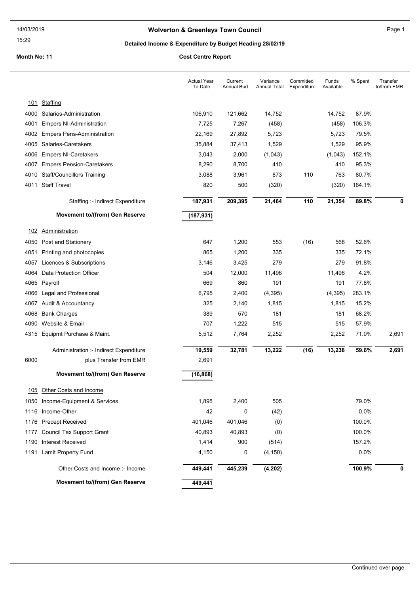### Wolverton & Greenleys Town Council Manual Page 1

#### 15:29

# Detailed Income & Expenditure by Budget Heading 28/02/19

|      |                                        | <b>Actual Year</b><br>To Date | Current<br><b>Annual Bud</b> | Variance<br>Annual Total | Committed<br>Expenditure | Funds<br>Available | % Spent | Transfer<br>to/from EMR |
|------|----------------------------------------|-------------------------------|------------------------------|--------------------------|--------------------------|--------------------|---------|-------------------------|
|      | 101 Staffing                           |                               |                              |                          |                          |                    |         |                         |
| 4000 | Salaries-Administration                | 106,910                       | 121,662                      | 14,752                   |                          | 14,752             | 87.9%   |                         |
| 4001 | <b>Empers NI-Administration</b>        | 7,725                         | 7,267                        | (458)                    |                          | (458)              | 106.3%  |                         |
| 4002 | <b>Empers Pens-Administration</b>      | 22,169                        | 27,892                       | 5,723                    |                          | 5,723              | 79.5%   |                         |
| 4005 | Salaries-Caretakers                    | 35,884                        | 37,413                       | 1,529                    |                          | 1,529              | 95.9%   |                         |
| 4006 | <b>Empers NI-Caretakers</b>            | 3,043                         | 2,000                        | (1,043)                  |                          | (1,043)            | 152.1%  |                         |
| 4007 | <b>Empers Pension-Caretakers</b>       | 8,290                         | 8,700                        | 410                      |                          | 410                | 95.3%   |                         |
| 4010 | <b>Staff/Councillors Training</b>      | 3,088                         | 3,961                        | 873                      | 110                      | 763                | 80.7%   |                         |
|      | 4011 Staff Travel                      | 820                           | 500                          | (320)                    |                          | (320)              | 164.1%  |                         |
|      | Staffing :- Indirect Expenditure       | 187,931                       | 209,395                      | 21,464                   | 110                      | 21,354             | 89.8%   | 0                       |
|      | Movement to/(from) Gen Reserve         | (187, 931)                    |                              |                          |                          |                    |         |                         |
| 102  | Administration                         |                               |                              |                          |                          |                    |         |                         |
| 4050 | Post and Stationery                    | 647                           | 1,200                        | 553                      | (16)                     | 568                | 52.6%   |                         |
| 4051 | Printing and photocopies               | 865                           | 1,200                        | 335                      |                          | 335                | 72.1%   |                         |
| 4057 | Licences & Subscriptions               | 3,146                         | 3,425                        | 279                      |                          | 279                | 91.8%   |                         |
| 4064 | Data Protection Officer                | 504                           | 12,000                       | 11,496                   |                          | 11,496             | 4.2%    |                         |
|      | 4065 Payroll                           | 669                           | 860                          | 191                      |                          | 191                | 77.8%   |                         |
| 4066 | Legal and Professional                 | 6,795                         | 2,400                        | (4, 395)                 |                          | (4,395)            | 283.1%  |                         |
|      | 4067 Audit & Accountancy               | 325                           | 2,140                        | 1,815                    |                          | 1,815              | 15.2%   |                         |
| 4068 | <b>Bank Charges</b>                    | 389                           | 570                          | 181                      |                          | 181                | 68.2%   |                         |
| 4090 | Website & Email                        | 707                           | 1,222                        | 515                      |                          | 515                | 57.9%   |                         |
|      | 4315 Equipmt Purchase & Maint.         | 5,512                         | 7,764                        | 2,252                    |                          | 2,252              | 71.0%   | 2,691                   |
|      | Administration :- Indirect Expenditure | 19,559                        | 32,781                       | 13,222                   | (16)                     | 13,238             | 59.6%   | 2,691                   |
| 6000 | plus Transfer from EMR                 | 2,691                         |                              |                          |                          |                    |         |                         |
|      | Movement to/(from) Gen Reserve         | (16, 868)                     |                              |                          |                          |                    |         |                         |
| 105  | Other Costs and Income                 |                               |                              |                          |                          |                    |         |                         |
|      | 1050 Income-Equipment & Services       | 1,895                         | 2,400                        | 505                      |                          |                    | 79.0%   |                         |
|      | 1116 Income-Other                      | 42                            | 0                            | (42)                     |                          |                    | 0.0%    |                         |
|      | 1176 Precept Received                  | 401,046                       | 401,046                      | (0)                      |                          |                    | 100.0%  |                         |
| 1177 | <b>Council Tax Support Grant</b>       | 40,893                        | 40,893                       | (0)                      |                          |                    | 100.0%  |                         |
| 1190 | <b>Interest Received</b>               | 1,414                         | 900                          | (514)                    |                          |                    | 157.2%  |                         |
|      | 1191 Lamit Property Fund               | 4,150                         | 0                            | (4, 150)                 |                          |                    | 0.0%    |                         |
|      | Other Costs and Income: - Income       | 449,441                       | 445,239                      | (4, 202)                 |                          |                    | 100.9%  | 0                       |
|      | Movement to/(from) Gen Reserve         | 449,441                       |                              |                          |                          |                    |         |                         |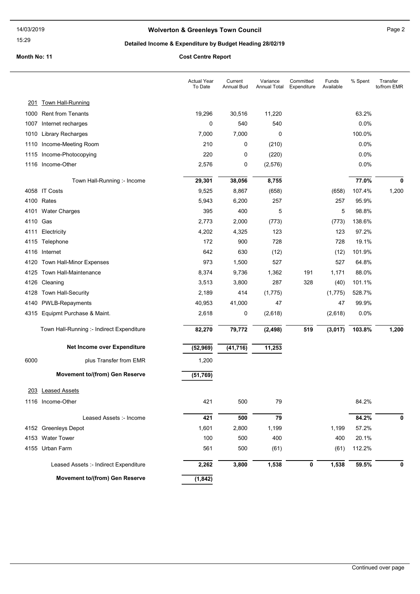15:29

### Wolverton & Greenleys Town Council Manuscripture of Page 2

### Detailed Income & Expenditure by Budget Heading 28/02/19

|          |                                           | <b>Actual Year</b><br>To Date | Current<br>Annual Bud | Variance<br>Annual Total | Committed<br>Expenditure | Funds<br>Available | % Spent | Transfer<br>to/from EMR |
|----------|-------------------------------------------|-------------------------------|-----------------------|--------------------------|--------------------------|--------------------|---------|-------------------------|
| 201      | <u>Town Hall-Running</u>                  |                               |                       |                          |                          |                    |         |                         |
|          | 1000 Rent from Tenants                    | 19,296                        | 30,516                | 11,220                   |                          |                    | 63.2%   |                         |
| 1007     | Internet recharges                        | 0                             | 540                   | 540                      |                          |                    | 0.0%    |                         |
| 1010     | <b>Library Recharges</b>                  | 7,000                         | 7,000                 | $\mathbf 0$              |                          |                    | 100.0%  |                         |
| 1110     | Income-Meeting Room                       | 210                           | 0                     | (210)                    |                          |                    | 0.0%    |                         |
|          | 1115 Income-Photocopying                  | 220                           | 0                     | (220)                    |                          |                    | 0.0%    |                         |
|          | 1116 Income-Other                         | 2,576                         | 0                     | (2, 576)                 |                          |                    | 0.0%    |                         |
|          | Town Hall-Running :- Income               | 29,301                        | 38,056                | 8,755                    |                          |                    | 77.0%   | 0                       |
|          | 4058 IT Costs                             | 9,525                         | 8,867                 | (658)                    |                          | (658)              | 107.4%  | 1,200                   |
|          | 4100 Rates                                | 5,943                         | 6,200                 | 257                      |                          | 257                | 95.9%   |                         |
|          | 4101 Water Charges                        | 395                           | 400                   | 5                        |                          | 5                  | 98.8%   |                         |
| 4110 Gas |                                           | 2,773                         | 2,000                 | (773)                    |                          | (773)              | 138.6%  |                         |
|          | 4111 Electricity                          | 4,202                         | 4,325                 | 123                      |                          | 123                | 97.2%   |                         |
|          | 4115 Telephone                            | 172                           | 900                   | 728                      |                          | 728                | 19.1%   |                         |
|          | 4116 Internet                             | 642                           | 630                   | (12)                     |                          | (12)               | 101.9%  |                         |
|          | 4120 Town Hall-Minor Expenses             | 973                           | 1,500                 | 527                      |                          | 527                | 64.8%   |                         |
|          | 4125 Town Hall-Maintenance                | 8,374                         | 9,736                 | 1,362                    | 191                      | 1,171              | 88.0%   |                         |
|          | 4126 Cleaning                             | 3,513                         | 3,800                 | 287                      | 328                      | (40)               | 101.1%  |                         |
| 4128     | Town Hall-Security                        | 2,189                         | 414                   | (1, 775)                 |                          | (1,775)            | 528.7%  |                         |
|          | 4140 PWLB-Repayments                      | 40,953                        | 41,000                | 47                       |                          | 47                 | 99.9%   |                         |
|          | 4315 Equipmt Purchase & Maint.            | 2,618                         | 0                     | (2,618)                  |                          | (2,618)            | 0.0%    |                         |
|          | Town Hall-Running :- Indirect Expenditure | 82,270                        | 79,772                | (2, 498)                 | 519                      | (3,017)            | 103.8%  | 1,200                   |
|          | Net Income over Expenditure               | (52, 969)                     | (41, 716)             | 11,253                   |                          |                    |         |                         |
| 6000     | plus Transfer from EMR                    | 1,200                         |                       |                          |                          |                    |         |                         |
|          | Movement to/(from) Gen Reserve            | (51, 769)                     |                       |                          |                          |                    |         |                         |
|          | 203 Leased Assets                         |                               |                       |                          |                          |                    |         |                         |
|          | 1116 Income-Other                         | 421                           | 500                   | 79                       |                          |                    | 84.2%   |                         |
|          | Leased Assets :- Income                   | 421                           | 500                   | 79                       |                          |                    | 84.2%   | 0                       |
|          | 4152 Greenleys Depot                      | 1,601                         | 2,800                 | 1,199                    |                          | 1,199              | 57.2%   |                         |
|          | 4153 Water Tower                          | 100                           | 500                   | 400                      |                          | 400                | 20.1%   |                         |
|          | 4155 Urban Farm                           | 561                           | 500                   | (61)                     |                          | (61)               | 112.2%  |                         |
|          | Leased Assets :- Indirect Expenditure     | 2,262                         | 3,800                 | 1,538                    | 0                        | 1,538              | 59.5%   | 0                       |
|          | Movement to/(from) Gen Reserve            | (1, 842)                      |                       |                          |                          |                    |         |                         |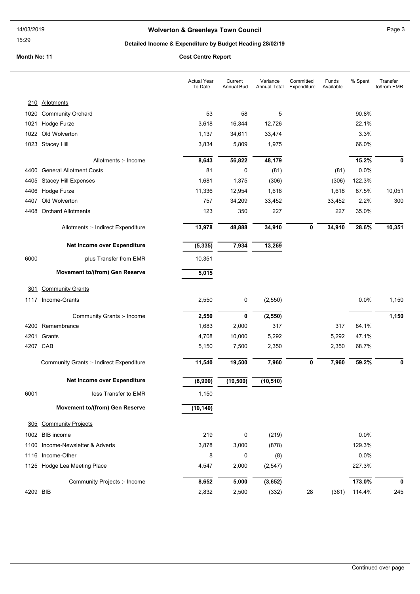15:29

### Wolverton & Greenleys Town Council Manuscripture of Page 3

### Detailed Income & Expenditure by Budget Heading 28/02/19

|            |                                                 | <b>Actual Year</b><br>To Date | Current<br>Annual Bud | Variance<br><b>Annual Total</b> | Committed<br>Expenditure | Funds<br>Available | % Spent | Transfer<br>to/from EMR |
|------------|-------------------------------------------------|-------------------------------|-----------------------|---------------------------------|--------------------------|--------------------|---------|-------------------------|
|            | 210 Allotments                                  |                               |                       |                                 |                          |                    |         |                         |
| 1020       | <b>Community Orchard</b>                        | 53                            | 58                    | 5                               |                          |                    | 90.8%   |                         |
| 1021       | Hodge Furze                                     | 3,618                         | 16,344                | 12,726                          |                          |                    | 22.1%   |                         |
|            | 1022 Old Wolverton                              | 1,137                         | 34,611                | 33,474                          |                          |                    | 3.3%    |                         |
|            | 1023 Stacey Hill                                | 3,834                         | 5,809                 | 1,975                           |                          |                    | 66.0%   |                         |
|            | Allotments :- Income                            | 8,643                         | 56,822                | 48,179                          |                          |                    | 15.2%   | 0                       |
| 4400       | <b>General Allotment Costs</b>                  | 81                            | 0                     | (81)                            |                          | (81)               | 0.0%    |                         |
| 4405       | <b>Stacey Hill Expenses</b>                     | 1,681                         | 1,375                 | (306)                           |                          | (306)              | 122.3%  |                         |
|            | 4406 Hodge Furze                                | 11,336                        | 12,954                | 1,618                           |                          | 1,618              | 87.5%   | 10,051                  |
| 4407       | Old Wolverton                                   | 757                           | 34,209                | 33,452                          |                          | 33,452             | 2.2%    | 300                     |
| 4408       | <b>Orchard Allotments</b>                       | 123                           | 350                   | 227                             |                          | 227                | 35.0%   |                         |
|            | Allotments :- Indirect Expenditure              | 13,978                        | 48,888                | 34,910                          | 0                        | 34,910             | 28.6%   | 10,351                  |
|            | Net Income over Expenditure                     | (5, 335)                      | 7,934                 | 13,269                          |                          |                    |         |                         |
| 6000       | plus Transfer from EMR                          | 10,351                        |                       |                                 |                          |                    |         |                         |
|            | Movement to/(from) Gen Reserve                  | 5,015                         |                       |                                 |                          |                    |         |                         |
| <u>301</u> | <b>Community Grants</b>                         |                               |                       |                                 |                          |                    |         |                         |
|            | 1117 Income-Grants                              | 2,550                         | 0                     | (2,550)                         |                          |                    | 0.0%    | 1,150                   |
|            | Community Grants :- Income                      | 2,550                         | 0                     | (2, 550)                        |                          |                    |         | 1,150                   |
|            | 4200 Remembrance                                | 1,683                         | 2,000                 | 317                             |                          | 317                | 84.1%   |                         |
|            | 4201 Grants                                     | 4,708                         | 10,000                | 5,292                           |                          | 5,292              | 47.1%   |                         |
| 4207 CAB   |                                                 | 5,150                         | 7,500                 | 2,350                           |                          | 2,350              | 68.7%   |                         |
|            | <b>Community Grants :- Indirect Expenditure</b> | 11,540                        | 19,500                | 7,960                           | 0                        | 7,960              | 59.2%   | 0                       |
|            | Net Income over Expenditure                     | (8,990)                       | (19, 500)             | (10, 510)                       |                          |                    |         |                         |
| 6001       | less Transfer to EMR                            | 1,150                         |                       |                                 |                          |                    |         |                         |
|            | Movement to/(from) Gen Reserve                  | (10, 140)                     |                       |                                 |                          |                    |         |                         |
| 305        | <b>Community Projects</b>                       |                               |                       |                                 |                          |                    |         |                         |
|            | 1002 BIB income                                 | 219                           | 0                     | (219)                           |                          |                    | 0.0%    |                         |
|            | 1100 Income-Newsletter & Adverts                | 3,878                         | 3,000                 | (878)                           |                          |                    | 129.3%  |                         |
|            | 1116 Income-Other                               | 8                             | 0                     | (8)                             |                          |                    | 0.0%    |                         |
|            | 1125 Hodge Lea Meeting Place                    | 4,547                         | 2,000                 | (2, 547)                        |                          |                    | 227.3%  |                         |
|            | Community Projects :- Income                    | 8,652                         | 5,000                 | (3,652)                         |                          |                    | 173.0%  | 0                       |
| 4209 BIB   |                                                 | 2,832                         | 2,500                 | (332)                           | 28                       | (361)              | 114.4%  | 245                     |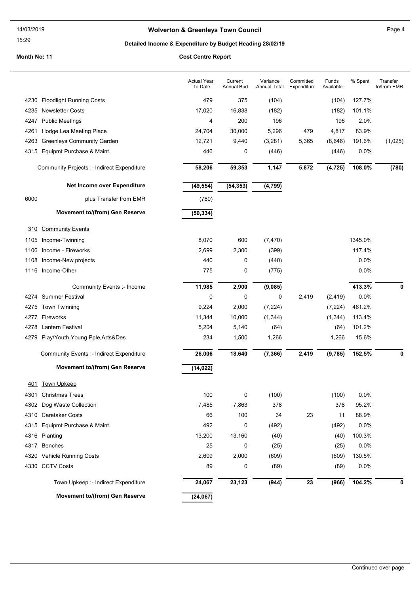15:29

### Wolverton & Greenleys Town Council Manuscripture of Page 4

## Detailed Income & Expenditure by Budget Heading 28/02/19

|      |                                                 | <b>Actual Year</b><br>To Date | Current<br>Annual Bud | Variance<br>Annual Total | Committed<br>Expenditure | Funds<br>Available | % Spent | Transfer<br>to/from EMR |
|------|-------------------------------------------------|-------------------------------|-----------------------|--------------------------|--------------------------|--------------------|---------|-------------------------|
|      | 4230 Floodlight Running Costs                   | 479                           | 375                   | (104)                    |                          | (104)              | 127.7%  |                         |
| 4235 | <b>Newsletter Costs</b>                         | 17,020                        | 16,838                | (182)                    |                          | (182)              | 101.1%  |                         |
| 4247 | <b>Public Meetings</b>                          | 4                             | 200                   | 196                      |                          | 196                | 2.0%    |                         |
| 4261 | Hodge Lea Meeting Place                         | 24,704                        | 30,000                | 5,296                    | 479                      | 4,817              | 83.9%   |                         |
| 4263 | <b>Greenleys Community Garden</b>               | 12,721                        | 9,440                 | (3,281)                  | 5,365                    | (8,646)            | 191.6%  | (1,025)                 |
|      | 4315 Equipmt Purchase & Maint.                  | 446                           | 0                     | (446)                    |                          | (446)              | 0.0%    |                         |
|      | Community Projects :- Indirect Expenditure      | 58,206                        | 59,353                | 1,147                    | 5,872                    | (4, 725)           | 108.0%  | (780)                   |
|      | Net Income over Expenditure                     | (49, 554)                     | (54, 353)             | (4, 799)                 |                          |                    |         |                         |
| 6000 | plus Transfer from EMR                          | (780)                         |                       |                          |                          |                    |         |                         |
|      | Movement to/(from) Gen Reserve                  | (50, 334)                     |                       |                          |                          |                    |         |                         |
| 310  | <b>Community Events</b>                         |                               |                       |                          |                          |                    |         |                         |
|      | 1105 Income-Twinning                            | 8,070                         | 600                   | (7, 470)                 |                          |                    | 1345.0% |                         |
| 1106 | Income - Fireworks                              | 2,699                         | 2,300                 | (399)                    |                          |                    | 117.4%  |                         |
| 1108 | Income-New projects                             | 440                           | 0                     | (440)                    |                          |                    | 0.0%    |                         |
|      | 1116 Income-Other                               | 775                           | 0                     | (775)                    |                          |                    | 0.0%    |                         |
|      | Community Events :- Income                      | 11,985                        | 2,900                 | (9,085)                  |                          |                    | 413.3%  | 0                       |
|      | 4274 Summer Festival                            | 0                             | 0                     | 0                        | 2,419                    | (2, 419)           | 0.0%    |                         |
|      | 4275 Town Twinning                              | 9,224                         | 2,000                 | (7, 224)                 |                          | (7, 224)           | 461.2%  |                         |
|      | 4277 Fireworks                                  | 11,344                        | 10,000                | (1, 344)                 |                          | (1, 344)           | 113.4%  |                         |
| 4278 | Lantern Festival                                | 5,204                         | 5,140                 | (64)                     |                          | (64)               | 101.2%  |                         |
| 4279 | Play/Youth, Young Pple, Arts&Des                | 234                           | 1,500                 | 1,266                    |                          | 1,266              | 15.6%   |                         |
|      | <b>Community Events :- Indirect Expenditure</b> | 26,006                        | 18,640                | (7, 366)                 | 2,419                    | (9,785)            | 152.5%  | 0                       |
|      | Movement to/(from) Gen Reserve                  | (14, 022)                     |                       |                          |                          |                    |         |                         |
| 401  | <b>Town Upkeep</b>                              |                               |                       |                          |                          |                    |         |                         |
|      | 4301 Christmas Trees                            | 100                           | 0                     | (100)                    |                          | (100)              | 0.0%    |                         |
|      | 4302 Dog Waste Collection                       | 7,485                         | 7,863                 | 378                      |                          | 378                | 95.2%   |                         |
|      | 4310 Caretaker Costs                            | 66                            | 100                   | 34                       | 23                       | 11                 | 88.9%   |                         |
|      | 4315 Equipmt Purchase & Maint.                  | 492                           | 0                     | (492)                    |                          | (492)              | 0.0%    |                         |
|      | 4316 Planting                                   | 13,200                        | 13,160                | (40)                     |                          | (40)               | 100.3%  |                         |
| 4317 | Benches                                         | 25                            | 0                     | (25)                     |                          | (25)               | 0.0%    |                         |
|      | 4320 Vehicle Running Costs                      | 2,609                         | 2,000                 | (609)                    |                          | (609)              | 130.5%  |                         |
|      | 4330 CCTV Costs                                 | 89                            | 0                     | (89)                     |                          | (89)               | 0.0%    |                         |
|      | Town Upkeep :- Indirect Expenditure             | 24,067                        | 23,123                | (944)                    | 23                       | (966)              | 104.2%  | 0                       |
|      | <b>Movement to/(from) Gen Reserve</b>           | (24, 067)                     |                       |                          |                          |                    |         |                         |